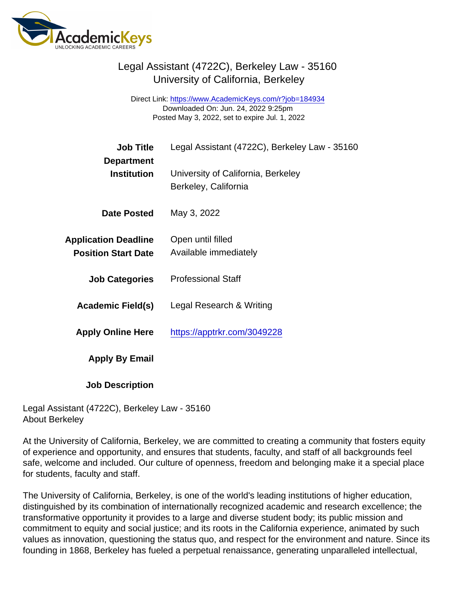Direct Link: <https://www.AcademicKeys.com/r?job=184934> Downloaded On: Jun. 24, 2022 9:25pm Posted May 3, 2022, set to expire Jul. 1, 2022

| <b>Job Title</b>                                          | Legal Assistant (4722C), Berkeley Law - 35160 |
|-----------------------------------------------------------|-----------------------------------------------|
| Department<br>Institution                                 | University of California, Berkeley            |
|                                                           | Berkeley, California                          |
| Date Posted                                               | May 3, 2022                                   |
| <b>Application Deadline</b><br><b>Position Start Date</b> | Open until filled<br>Available immediately    |
| <b>Job Categories</b>                                     | <b>Professional Staff</b>                     |
|                                                           | Legal Research & Writing                      |
| Academic Field(s)                                         |                                               |
| <b>Apply Online Here</b>                                  | https://apptrkr.com/3049228                   |
| Apply By Email                                            |                                               |
| <b>Job Description</b>                                    |                                               |

Legal Assistant (4722C), Berkeley Law - 35160 About Berkeley

At the University of California, Berkeley, we are committed to creating a community that fosters equity of experience and opportunity, and ensures that students, faculty, and staff of all backgrounds feel safe, welcome and included. Our culture of openness, freedom and belonging make it a special place for students, faculty and staff.

The University of California, Berkeley, is one of the world's leading institutions of higher education, distinguished by its combination of internationally recognized academic and research excellence; the transformative opportunity it provides to a large and diverse student body; its public mission and commitment to equity and social justice; and its roots in the California experience, animated by such values as innovation, questioning the status quo, and respect for the environment and nature. Since its founding in 1868, Berkeley has fueled a perpetual renaissance, generating unparalleled intellectual,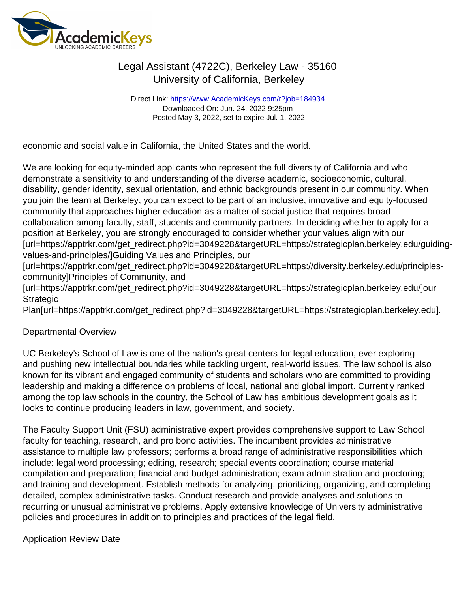Direct Link: <https://www.AcademicKeys.com/r?job=184934> Downloaded On: Jun. 24, 2022 9:25pm Posted May 3, 2022, set to expire Jul. 1, 2022

economic and social value in California, the United States and the world.

We are looking for equity-minded applicants who represent the full diversity of California and who demonstrate a sensitivity to and understanding of the diverse academic, socioeconomic, cultural, disability, gender identity, sexual orientation, and ethnic backgrounds present in our community. When you join the team at Berkeley, you can expect to be part of an inclusive, innovative and equity-focused community that approaches higher education as a matter of social justice that requires broad collaboration among faculty, staff, students and community partners. In deciding whether to apply for a position at Berkeley, you are strongly encouraged to consider whether your values align with our [url=https://apptrkr.com/get\_redirect.php?id=3049228&targetURL=https://strategicplan.berkeley.edu/guidingvalues-and-principles/]Guiding Values and Principles, our

[url=https://apptrkr.com/get\_redirect.php?id=3049228&targetURL=https://diversity.berkeley.edu/principlescommunity]Principles of Community, and

[url=https://apptrkr.com/get\_redirect.php?id=3049228&targetURL=https://strategicplan.berkeley.edu/]our **Strategic** 

Plan[url=https://apptrkr.com/get\_redirect.php?id=3049228&targetURL=https://strategicplan.berkeley.edu].

## Departmental Overview

UC Berkeley's School of Law is one of the nation's great centers for legal education, ever exploring and pushing new intellectual boundaries while tackling urgent, real-world issues. The law school is also known for its vibrant and engaged community of students and scholars who are committed to providing leadership and making a difference on problems of local, national and global import. Currently ranked among the top law schools in the country, the School of Law has ambitious development goals as it looks to continue producing leaders in law, government, and society.

The Faculty Support Unit (FSU) administrative expert provides comprehensive support to Law School faculty for teaching, research, and pro bono activities. The incumbent provides administrative assistance to multiple law professors; performs a broad range of administrative responsibilities which include: legal word processing; editing, research; special events coordination; course material compilation and preparation; financial and budget administration; exam administration and proctoring; and training and development. Establish methods for analyzing, prioritizing, organizing, and completing detailed, complex administrative tasks. Conduct research and provide analyses and solutions to recurring or unusual administrative problems. Apply extensive knowledge of University administrative policies and procedures in addition to principles and practices of the legal field.

### Application Review Date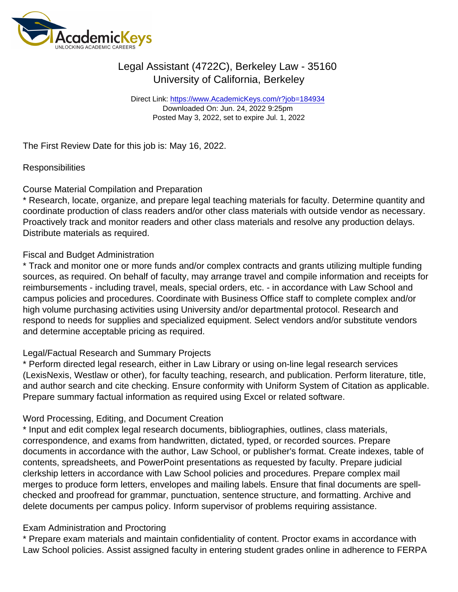Direct Link: <https://www.AcademicKeys.com/r?job=184934> Downloaded On: Jun. 24, 2022 9:25pm Posted May 3, 2022, set to expire Jul. 1, 2022

The First Review Date for this job is: May 16, 2022.

#### **Responsibilities**

#### Course Material Compilation and Preparation

\* Research, locate, organize, and prepare legal teaching materials for faculty. Determine quantity and coordinate production of class readers and/or other class materials with outside vendor as necessary. Proactively track and monitor readers and other class materials and resolve any production delays. Distribute materials as required.

### Fiscal and Budget Administration

\* Track and monitor one or more funds and/or complex contracts and grants utilizing multiple funding sources, as required. On behalf of faculty, may arrange travel and compile information and receipts for reimbursements - including travel, meals, special orders, etc. - in accordance with Law School and campus policies and procedures. Coordinate with Business Office staff to complete complex and/or high volume purchasing activities using University and/or departmental protocol. Research and respond to needs for supplies and specialized equipment. Select vendors and/or substitute vendors and determine acceptable pricing as required.

### Legal/Factual Research and Summary Projects

\* Perform directed legal research, either in Law Library or using on-line legal research services (LexisNexis, Westlaw or other), for faculty teaching, research, and publication. Perform literature, title, and author search and cite checking. Ensure conformity with Uniform System of Citation as applicable. Prepare summary factual information as required using Excel or related software.

### Word Processing, Editing, and Document Creation

\* Input and edit complex legal research documents, bibliographies, outlines, class materials, correspondence, and exams from handwritten, dictated, typed, or recorded sources. Prepare documents in accordance with the author, Law School, or publisher's format. Create indexes, table of contents, spreadsheets, and PowerPoint presentations as requested by faculty. Prepare judicial clerkship letters in accordance with Law School policies and procedures. Prepare complex mail merges to produce form letters, envelopes and mailing labels. Ensure that final documents are spellchecked and proofread for grammar, punctuation, sentence structure, and formatting. Archive and delete documents per campus policy. Inform supervisor of problems requiring assistance.

### Exam Administration and Proctoring

\* Prepare exam materials and maintain confidentiality of content. Proctor exams in accordance with Law School policies. Assist assigned faculty in entering student grades online in adherence to FERPA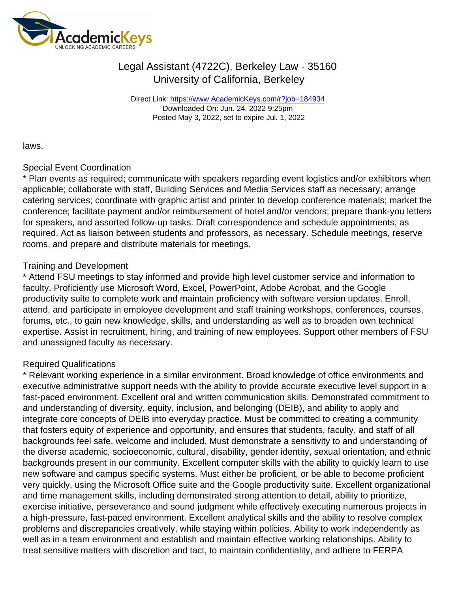Direct Link: <https://www.AcademicKeys.com/r?job=184934> Downloaded On: Jun. 24, 2022 9:25pm Posted May 3, 2022, set to expire Jul. 1, 2022

laws.

### Special Event Coordination

\* Plan events as required; communicate with speakers regarding event logistics and/or exhibitors when applicable; collaborate with staff, Building Services and Media Services staff as necessary; arrange catering services; coordinate with graphic artist and printer to develop conference materials; market the conference; facilitate payment and/or reimbursement of hotel and/or vendors; prepare thank-you letters for speakers, and assorted follow-up tasks. Draft correspondence and schedule appointments, as required. Act as liaison between students and professors, as necessary. Schedule meetings, reserve rooms, and prepare and distribute materials for meetings.

### Training and Development

\* Attend FSU meetings to stay informed and provide high level customer service and information to faculty. Proficiently use Microsoft Word, Excel, PowerPoint, Adobe Acrobat, and the Google productivity suite to complete work and maintain proficiency with software version updates. Enroll, attend, and participate in employee development and staff training workshops, conferences, courses, forums, etc., to gain new knowledge, skills, and understanding as well as to broaden own technical expertise. Assist in recruitment, hiring, and training of new employees. Support other members of FSU and unassigned faculty as necessary.

## Required Qualifications

\* Relevant working experience in a similar environment. Broad knowledge of office environments and executive administrative support needs with the ability to provide accurate executive level support in a fast-paced environment. Excellent oral and written communication skills. Demonstrated commitment to and understanding of diversity, equity, inclusion, and belonging (DEIB), and ability to apply and integrate core concepts of DEIB into everyday practice. Must be committed to creating a community that fosters equity of experience and opportunity, and ensures that students, faculty, and staff of all backgrounds feel safe, welcome and included. Must demonstrate a sensitivity to and understanding of the diverse academic, socioeconomic, cultural, disability, gender identity, sexual orientation, and ethnic backgrounds present in our community. Excellent computer skills with the ability to quickly learn to use new software and campus specific systems. Must either be proficient, or be able to become proficient very quickly, using the Microsoft Office suite and the Google productivity suite. Excellent organizational and time management skills, including demonstrated strong attention to detail, ability to prioritize, exercise initiative, perseverance and sound judgment while effectively executing numerous projects in a high-pressure, fast-paced environment. Excellent analytical skills and the ability to resolve complex problems and discrepancies creatively, while staying within policies. Ability to work independently as well as in a team environment and establish and maintain effective working relationships. Ability to treat sensitive matters with discretion and tact, to maintain confidentiality, and adhere to FERPA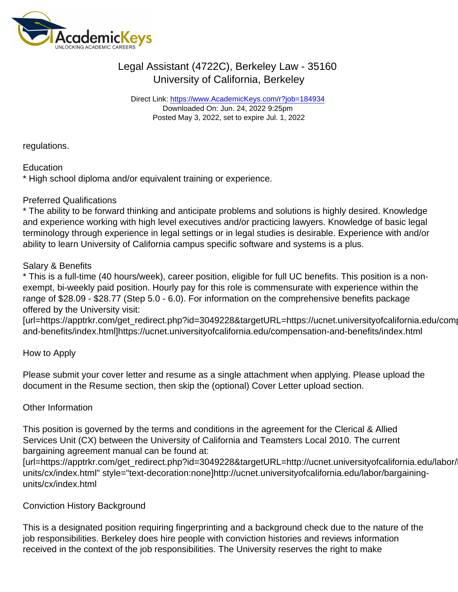Direct Link: <https://www.AcademicKeys.com/r?job=184934> Downloaded On: Jun. 24, 2022 9:25pm Posted May 3, 2022, set to expire Jul. 1, 2022

regulations.

## **Education**

\* High school diploma and/or equivalent training or experience.

## Preferred Qualifications

\* The ability to be forward thinking and anticipate problems and solutions is highly desired. Knowledge and experience working with high level executives and/or practicing lawyers. Knowledge of basic legal terminology through experience in legal settings or in legal studies is desirable. Experience with and/or ability to learn University of California campus specific software and systems is a plus.

## Salary & Benefits

\* This is a full-time (40 hours/week), career position, eligible for full UC benefits. This position is a nonexempt, bi-weekly paid position. Hourly pay for this role is commensurate with experience within the range of \$28.09 - \$28.77 (Step 5.0 - 6.0). For information on the comprehensive benefits package offered by the University visit:

[url=https://apptrkr.com/get\_redirect.php?id=3049228&targetURL=https://ucnet.universityofcalifornia.edu/comp and-benefits/index.html]https://ucnet.universityofcalifornia.edu/compensation-and-benefits/index.html

## How to Apply

Please submit your cover letter and resume as a single attachment when applying. Please upload the document in the Resume section, then skip the (optional) Cover Letter upload section.

## Other Information

This position is governed by the terms and conditions in the agreement for the Clerical & Allied Services Unit (CX) between the University of California and Teamsters Local 2010. The current bargaining agreement manual can be found at:

[url=https://apptrkr.com/get\_redirect.php?id=3049228&targetURL=http://ucnet.universityofcalifornia.edu/labor/ units/cx/index.html" style="text-decoration:none]http://ucnet.universityofcalifornia.edu/labor/bargainingunits/cx/index.html

## Conviction History Background

This is a designated position requiring fingerprinting and a background check due to the nature of the job responsibilities. Berkeley does hire people with conviction histories and reviews information received in the context of the job responsibilities. The University reserves the right to make